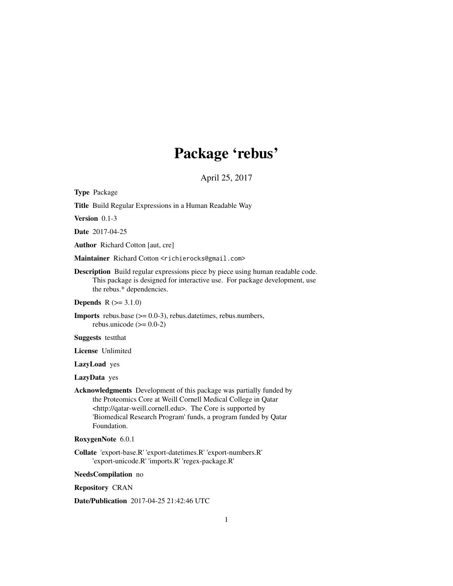# Package 'rebus'

April 25, 2017

<span id="page-0-0"></span>Type Package

Title Build Regular Expressions in a Human Readable Way

Version 0.1-3

Date 2017-04-25

Author Richard Cotton [aut, cre]

Maintainer Richard Cotton <richierocks@gmail.com>

Description Build regular expressions piece by piece using human readable code. This package is designed for interactive use. For package development, use the rebus.\* dependencies.

**Depends**  $R (= 3.1.0)$ 

Imports rebus.base (>= 0.0-3), rebus.datetimes, rebus.numbers, rebus.unicode  $(>= 0.0-2)$ 

Suggests testthat

License Unlimited

LazyLoad yes

LazyData yes

Acknowledgments Development of this package was partially funded by the Proteomics Core at Weill Cornell Medical College in Qatar <http://qatar-weill.cornell.edu>. The Core is supported by 'Biomedical Research Program' funds, a program funded by Qatar Foundation.

RoxygenNote 6.0.1

Collate 'export-base.R' 'export-datetimes.R' 'export-numbers.R' 'export-unicode.R' 'imports.R' 'regex-package.R'

NeedsCompilation no

Repository CRAN

Date/Publication 2017-04-25 21:42:46 UTC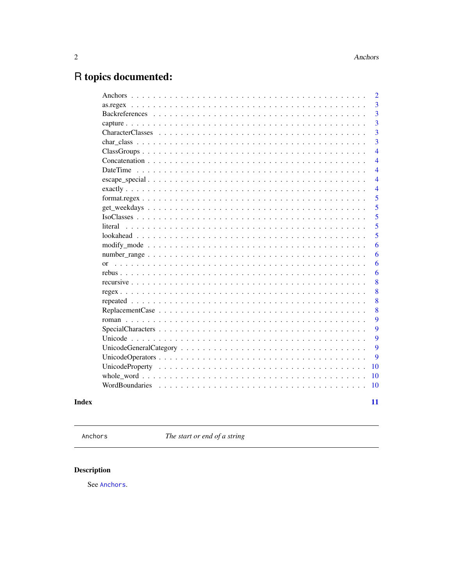# <span id="page-1-0"></span>R topics documented:

|                 | $\overline{2}$ |
|-----------------|----------------|
|                 | 3              |
|                 | 3              |
|                 | 3              |
|                 | 3              |
|                 | 3              |
|                 | $\overline{4}$ |
|                 | $\overline{4}$ |
| <b>DateTime</b> | $\overline{4}$ |
|                 | $\overline{4}$ |
|                 | $\overline{4}$ |
|                 | 5              |
|                 | 5              |
|                 | 5              |
|                 | 5              |
|                 | 5              |
|                 | 6              |
|                 | 6              |
|                 | 6              |
|                 | 6              |
|                 | 8              |
|                 | 8              |
|                 | 8              |
|                 | 8              |
|                 | 9              |
|                 | 9              |
|                 | 9              |
|                 | 9              |
|                 | 9              |
|                 | 10             |
|                 | 10             |
|                 | <b>10</b>      |
|                 | 11             |
|                 |                |

**Index** 

<span id="page-1-1"></span>Anchors

The start or end of a string

# Description

See Anchors.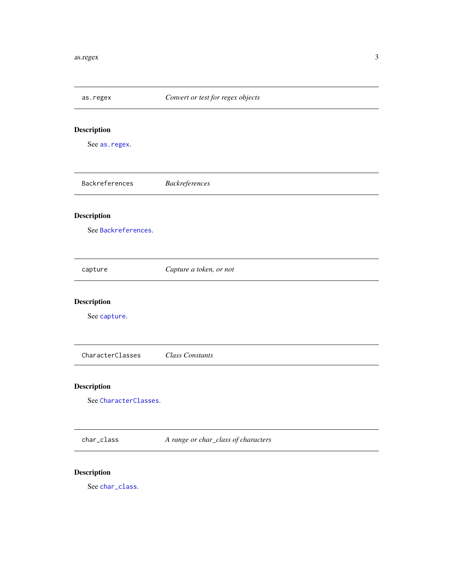<span id="page-2-3"></span><span id="page-2-2"></span><span id="page-2-1"></span><span id="page-2-0"></span>

| as.regex              | Convert or test for regex objects   |
|-----------------------|-------------------------------------|
| Description           |                                     |
| See as.regex.         |                                     |
| Backreferences        | Backreferences                      |
| Description           |                                     |
| See Backreferences.   |                                     |
| capture               | Capture a token, or not             |
| Description           |                                     |
| See capture.          |                                     |
| CharacterClasses      | <b>Class Constants</b>              |
| <b>Description</b>    |                                     |
| See CharacterClasses. |                                     |
| char_class            | A range or char_class of characters |
| <b>Description</b>    |                                     |

<span id="page-2-5"></span><span id="page-2-4"></span>See [char\\_class](#page-2-5).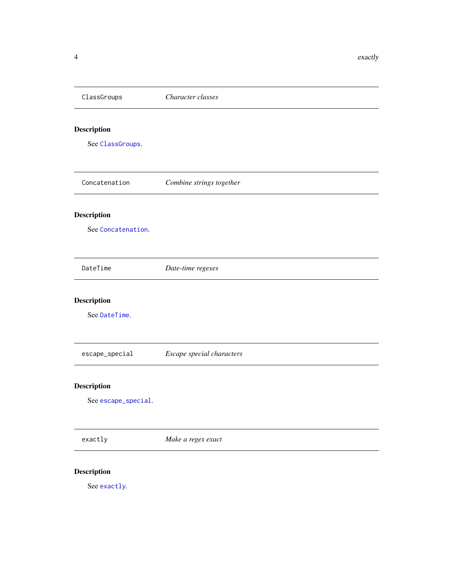<span id="page-3-3"></span><span id="page-3-2"></span><span id="page-3-1"></span><span id="page-3-0"></span>

| ClassGroups         | Character classes         |
|---------------------|---------------------------|
| <b>Description</b>  |                           |
| See ClassGroups.    |                           |
| Concatenation       | Combine strings together  |
| Description         |                           |
| See Concatenation.  |                           |
| DateTime            | Date-time regexes         |
| Description         |                           |
| See DateTime.       |                           |
| escape_special      | Escape special characters |
| Description         |                           |
| See escape_special. |                           |
| exactly             | Make a regex exact        |
|                     |                           |

## <span id="page-3-5"></span><span id="page-3-4"></span>Description

See [exactly](#page-3-5).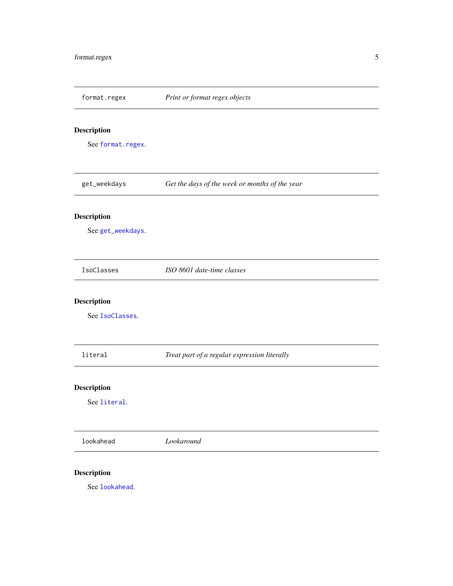<span id="page-4-3"></span><span id="page-4-2"></span><span id="page-4-1"></span><span id="page-4-0"></span>

| format.regex       | Print or format regex objects                  |
|--------------------|------------------------------------------------|
| <b>Description</b> |                                                |
| See format.regex.  |                                                |
| get_weekdays       | Get the days of the week or months of the year |
| Description        |                                                |
| See get_weekdays.  |                                                |
| IsoClasses         | ISO 8601 date-time classes                     |
| <b>Description</b> |                                                |
| See IsoClasses.    |                                                |
| literal            | Treat part of a regular expression literally   |
| <b>Description</b> |                                                |
| See literal.       |                                                |
| lookahead          | Lookaround                                     |
| <b>Description</b> |                                                |

<span id="page-4-5"></span><span id="page-4-4"></span>See [lookahead](#page-4-5).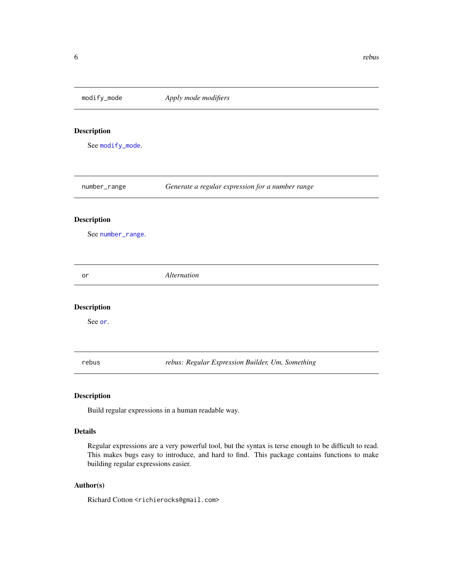<span id="page-5-2"></span><span id="page-5-1"></span><span id="page-5-0"></span>modify\_mode *Apply mode modifiers* Description See [modify\\_mode](#page-5-1). number\_range *Generate a regular expression for a number range* Description See [number\\_range](#page-5-2). or *Alternation* Description See [or](#page-5-3). rebus *rebus: Regular Expression Builder, Um, Something*

#### <span id="page-5-3"></span>Description

Build regular expressions in a human readable way.

#### Details

Regular expressions are a very powerful tool, but the syntax is terse enough to be difficult to read. This makes bugs easy to introduce, and hard to find. This package contains functions to make building regular expressions easier.

#### Author(s)

Richard Cotton <richierocks@gmail.com>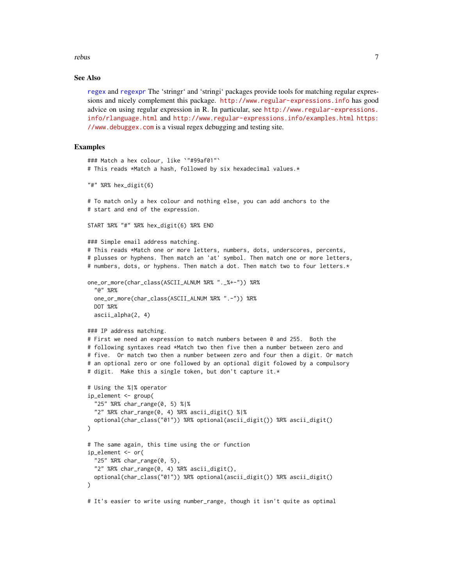#### <span id="page-6-0"></span>rebus 7

#### See Also

[regex](#page-7-1) and [regexpr](#page-0-0) The 'stringr' and 'stringi' packages provide tools for matching regular expressions and nicely complement this package. <http://www.regular-expressions.info> has good advice on using regular expression in R. In particular, see [http://www.regular-expressions.](http://www.regular-expressions.info/rlanguage.html) [info/rlanguage.html](http://www.regular-expressions.info/rlanguage.html) and <http://www.regular-expressions.info/examples.html> [https:](https://www.debuggex.com) [//www.debuggex.com](https://www.debuggex.com) is a visual regex debugging and testing site.

#### Examples

```
### Match a hex colour, like `"#99af01"`
# This reads *Match a hash, followed by six hexadecimal values.*
"#" %R% hex_digit(6)
# To match only a hex colour and nothing else, you can add anchors to the
# start and end of the expression.
START %R% "#" %R% hex_digit(6) %R% END
### Simple email address matching.
# This reads *Match one or more letters, numbers, dots, underscores, percents,
# plusses or hyphens. Then match an 'at' symbol. Then match one or more letters,
# numbers, dots, or hyphens. Then match a dot. Then match two to four letters.*
one_or_more(char_class(ASCII_ALNUM %R% "._%+-")) %R%
 "@" %R%
 one_or_more(char_class(ASCII_ALNUM %R% ".-")) %R%
 DOT %R%
 ascii_alpha(2, 4)
### IP address matching.
# First we need an expression to match numbers between 0 and 255. Both the
# following syntaxes read *Match two then five then a number between zero and
# five. Or match two then a number between zero and four then a digit. Or match
# an optional zero or one followed by an optional digit folowed by a compulsory
# digit. Make this a single token, but don't capture it.*
# Using the %|% operator
ip_element <- group(
  "25" %R% char_range(0, 5) %|%
 "2" %R% char_range(0, 4) %R% ascii_digit() %|%
 optional(char_class("01")) %R% optional(ascii_digit()) %R% ascii_digit()
\mathcal{L}# The same again, this time using the or function
ip_element <- or(
  "25" %R% char_range(0, 5),
 "2" %R% char_range(0, 4) %R% ascii_digit(),
 optional(char_class("01")) %R% optional(ascii_digit()) %R% ascii_digit()
)
# It's easier to write using number_range, though it isn't quite as optimal
```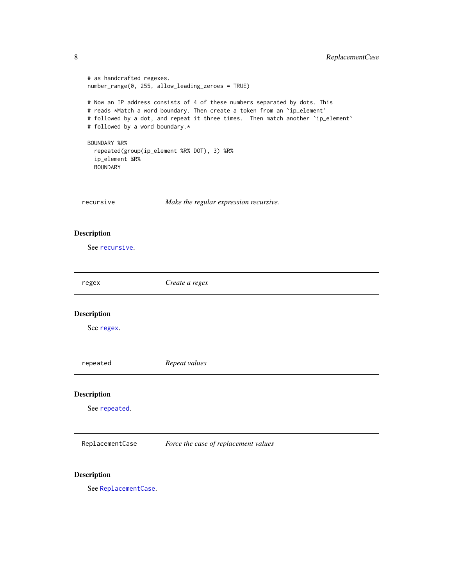```
# as handcrafted regexes.
   number_range(0, 255, allow_leading_zeroes = TRUE)
   # Now an IP address consists of 4 of these numbers separated by dots. This
   # reads *Match a word boundary. Then create a token from an `ip_element`
   # followed by a dot, and repeat it three times. Then match another `ip_element`
   # followed by a word boundary.*
   BOUNDARY %R%
     repeated(group(ip_element %R% DOT), 3) %R%
     ip_element %R%
     BOUNDARY
  recursive Make the regular expression recursive.
Description
   See recursive.
  regex Create a regex
Description
   See regex.
  repeated Repeat values
Description
   See repeated.
```
<span id="page-7-4"></span><span id="page-7-3"></span><span id="page-7-1"></span>ReplacementCase *Force the case of replacement values*

#### Description

See [ReplacementCase](#page-7-4).

<span id="page-7-0"></span>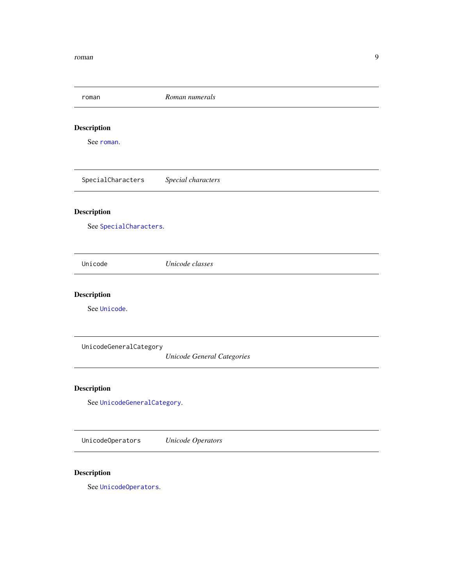<span id="page-8-3"></span><span id="page-8-2"></span><span id="page-8-1"></span><span id="page-8-0"></span>

| roman                       | Roman numerals                    |  |  |
|-----------------------------|-----------------------------------|--|--|
| <b>Description</b>          |                                   |  |  |
| See roman.                  |                                   |  |  |
| SpecialCharacters           | Special characters                |  |  |
| <b>Description</b>          |                                   |  |  |
| See SpecialCharacters.      |                                   |  |  |
| Unicode                     | Unicode classes                   |  |  |
| Description                 |                                   |  |  |
| See Unicode.                |                                   |  |  |
| UnicodeGeneralCategory      |                                   |  |  |
|                             | <b>Unicode General Categories</b> |  |  |
| Description                 |                                   |  |  |
| See UnicodeGeneralCategory. |                                   |  |  |
| UnicodeOperators            | <b>Unicode Operators</b>          |  |  |

## <span id="page-8-5"></span><span id="page-8-4"></span>Description

See [UnicodeOperators](#page-8-5).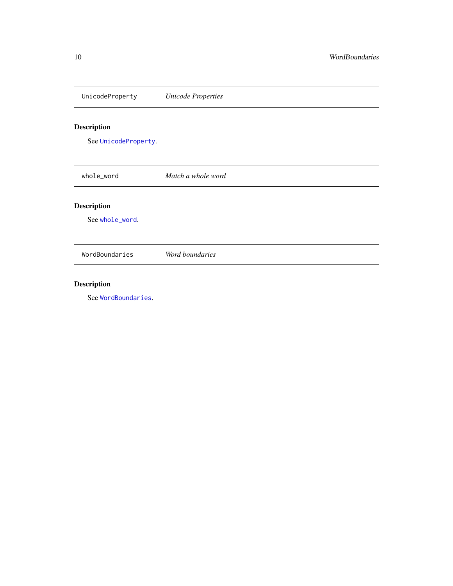<span id="page-9-2"></span><span id="page-9-1"></span><span id="page-9-0"></span>UnicodeProperty *Unicode Properties* Description See [UnicodeProperty](#page-9-1). whole\_word *Match a whole word* Description See [whole\\_word](#page-9-2). WordBoundaries *Word boundaries*

# <span id="page-9-3"></span>Description

See [WordBoundaries](#page-9-3).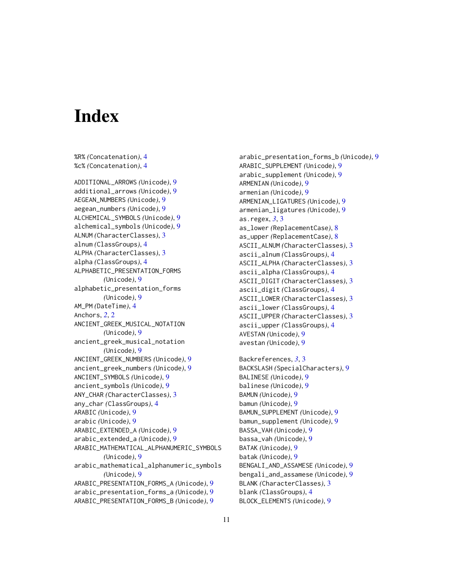# <span id="page-10-0"></span>**Index**

%R% *(*Concatenation*)*, [4](#page-3-0) %c% *(*Concatenation*)*, [4](#page-3-0) ADDITIONAL\_ARROWS *(*Unicode*)*, [9](#page-8-0) additional\_arrows *(*Unicode*)*, [9](#page-8-0) AEGEAN\_NUMBERS *(*Unicode*)*, [9](#page-8-0) aegean\_numbers *(*Unicode*)*, [9](#page-8-0) ALCHEMICAL\_SYMBOLS *(*Unicode*)*, [9](#page-8-0) alchemical\_symbols *(*Unicode*)*, [9](#page-8-0) ALNUM *(*CharacterClasses*)*, [3](#page-2-0) alnum *(*ClassGroups*)*, [4](#page-3-0) ALPHA *(*CharacterClasses*)*, [3](#page-2-0) alpha *(*ClassGroups*)*, [4](#page-3-0) ALPHABETIC\_PRESENTATION\_FORMS *(*Unicode*)*, [9](#page-8-0) alphabetic\_presentation\_forms *(*Unicode*)*, [9](#page-8-0) AM\_PM *(*DateTime*)*, [4](#page-3-0) Anchors, *[2](#page-1-0)*, [2](#page-1-0) ANCIENT\_GREEK\_MUSICAL\_NOTATION *(*Unicode*)*, [9](#page-8-0) ancient\_greek\_musical\_notation *(*Unicode*)*, [9](#page-8-0) ANCIENT\_GREEK\_NUMBERS *(*Unicode*)*, [9](#page-8-0) ancient\_greek\_numbers *(*Unicode*)*, [9](#page-8-0) ANCIENT\_SYMBOLS *(*Unicode*)*, [9](#page-8-0) ancient\_symbols *(*Unicode*)*, [9](#page-8-0) ANY\_CHAR *(*CharacterClasses*)*, [3](#page-2-0) any\_char *(*ClassGroups*)*, [4](#page-3-0) ARABIC *(*Unicode*)*, [9](#page-8-0) arabic *(*Unicode*)*, [9](#page-8-0) ARABIC\_EXTENDED\_A *(*Unicode*)*, [9](#page-8-0) arabic\_extended\_a *(*Unicode*)*, [9](#page-8-0) ARABIC\_MATHEMATICAL\_ALPHANUMERIC\_SYMBOLS *(*Unicode*)*, [9](#page-8-0) arabic\_mathematical\_alphanumeric\_symbols *(*Unicode*)*, [9](#page-8-0) ARABIC\_PRESENTATION\_FORMS\_A *(*Unicode*)*, [9](#page-8-0) arabic\_presentation\_forms\_a *(*Unicode*)*, [9](#page-8-0) ARABIC\_PRESENTATION\_FORMS\_B *(*Unicode*)*, [9](#page-8-0)

arabic\_presentation\_forms\_b *(*Unicode*)*, [9](#page-8-0) ARABIC\_SUPPLEMENT *(*Unicode*)*, [9](#page-8-0) arabic\_supplement *(*Unicode*)*, [9](#page-8-0) ARMENIAN *(*Unicode*)*, [9](#page-8-0) armenian *(*Unicode*)*, [9](#page-8-0) ARMENIAN\_LIGATURES *(*Unicode*)*, [9](#page-8-0) armenian\_ligatures *(*Unicode*)*, [9](#page-8-0) as.regex, *[3](#page-2-0)*, [3](#page-2-0) as\_lower *(*ReplacementCase*)*, [8](#page-7-0) as\_upper *(*ReplacementCase*)*, [8](#page-7-0) ASCII\_ALNUM *(*CharacterClasses*)*, [3](#page-2-0) ascii\_alnum *(*ClassGroups*)*, [4](#page-3-0) ASCII\_ALPHA *(*CharacterClasses*)*, [3](#page-2-0) ascii\_alpha *(*ClassGroups*)*, [4](#page-3-0) ASCII\_DIGIT *(*CharacterClasses*)*, [3](#page-2-0) ascii\_digit *(*ClassGroups*)*, [4](#page-3-0) ASCII\_LOWER *(*CharacterClasses*)*, [3](#page-2-0) ascii\_lower *(*ClassGroups*)*, [4](#page-3-0) ASCII\_UPPER *(*CharacterClasses*)*, [3](#page-2-0) ascii\_upper *(*ClassGroups*)*, [4](#page-3-0) AVESTAN *(*Unicode*)*, [9](#page-8-0) avestan *(*Unicode*)*, [9](#page-8-0) Backreferences, *[3](#page-2-0)*, [3](#page-2-0) BACKSLASH *(*SpecialCharacters*)*, [9](#page-8-0) BALINESE *(*Unicode*)*, [9](#page-8-0) balinese *(*Unicode*)*, [9](#page-8-0) BAMUN *(*Unicode*)*, [9](#page-8-0)

bamun *(*Unicode*)*, [9](#page-8-0) BAMUN\_SUPPLEMENT *(*Unicode*)*, [9](#page-8-0) bamun\_supplement *(*Unicode*)*, [9](#page-8-0) BASSA\_VAH *(*Unicode*)*, [9](#page-8-0) bassa\_vah *(*Unicode*)*, [9](#page-8-0) BATAK *(*Unicode*)*, [9](#page-8-0) batak *(*Unicode*)*, [9](#page-8-0) BENGALI\_AND\_ASSAMESE *(*Unicode*)*, [9](#page-8-0) bengali\_and\_assamese *(*Unicode*)*, [9](#page-8-0) BLANK *(*CharacterClasses*)*, [3](#page-2-0) blank *(*ClassGroups*)*, [4](#page-3-0) BLOCK\_ELEMENTS *(*Unicode*)*, [9](#page-8-0)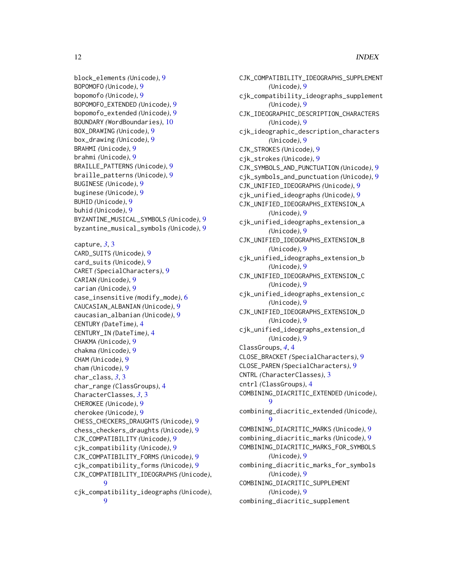```
block_elements (Unicode), 9
BOPOMOFO (Unicode), 9
bopomofo (Unicode), 9
BOPOMOFO_EXTENDED (Unicode), 9
bopomofo_extended (Unicode), 9
BOUNDARY (WordBoundaries), 10
BOX_DRAWING (Unicode), 9
box_drawing (Unicode), 9
BRAHMI (Unicode), 9
brahmi (Unicode), 9
BRAILLE_PATTERNS (Unicode), 9
braille_patterns (Unicode), 9
BUGINESE (Unicode), 9
buginese (Unicode), 9
BUHID (Unicode), 9
buhid (Unicode), 9
BYZANTINE_MUSICAL_SYMBOLS (Unicode), 9
byzantine_musical_symbols (Unicode), 9
capture, 3, 3
CARD_SUITS (Unicode), 9
card_suits (Unicode), 9
CARET (SpecialCharacters), 9
CARIAN (Unicode), 9
carian (Unicode), 9
case_insensitive (modify_mode), 6
CAUCASIAN_ALBANIAN (Unicode), 9
caucasian_albanian (Unicode), 9
CENTURY (DateTime), 4
CENTURY_IN (DateTime), 4
CHAKMA (Unicode), 9
chakma (Unicode), 9
CHAM (Unicode), 9
cham (Unicode), 9
char_class, 3, 3
char_range (ClassGroups), 4
CharacterClasses, 3, 3
CHEROKEE (Unicode), 9
cherokee (Unicode), 9
CHESS_CHECKERS_DRAUGHTS (Unicode), 9
chess_checkers_draughts (Unicode), 9
CJK_COMPATIBILITY (Unicode), 9
cjk_compatibility (Unicode), 9
CJK_COMPATIBILITY_FORMS (Unicode), 9
cjk_compatibility_forms (Unicode), 9
CJK_COMPATIBILITY_IDEOGRAPHS (Unicode),
         9
cjk_compatibility_ideographs (Unicode),
        9
```

```
CJK_COMPATIBILITY_IDEOGRAPHS_SUPPLEMENT
        (Unicode), 9
cjk_compatibility_ideographs_supplement
        (Unicode), 9
CJK_IDEOGRAPHIC_DESCRIPTION_CHARACTERS
        (Unicode), 9
cjk_ideographic_description_characters
        (Unicode), 9
CJK_STROKES (Unicode), 9
cjk_strokes (Unicode), 9
CJK_SYMBOLS_AND_PUNCTUATION (Unicode), 9
cjk_symbols_and_punctuation (Unicode), 9
CJK_UNIFIED_IDEOGRAPHS (Unicode), 9
cjk_unified_ideographs (Unicode), 9
CJK_UNIFIED_IDEOGRAPHS_EXTENSION_A
        (Unicode), 9
cjk_unified_ideographs_extension_a
        (Unicode), 9
CJK_UNIFIED_IDEOGRAPHS_EXTENSION_B
        (Unicode), 9
cjk_unified_ideographs_extension_b
        (Unicode), 9
CJK_UNIFIED_IDEOGRAPHS_EXTENSION_C
        (Unicode), 9
cjk_unified_ideographs_extension_c
        (Unicode), 9
CJK_UNIFIED_IDEOGRAPHS_EXTENSION_D
        (Unicode), 9
cjk_unified_ideographs_extension_d
        (Unicode), 9
ClassGroups, 4, 4
CLOSE_BRACKET (SpecialCharacters), 9
CLOSE_PAREN (SpecialCharacters), 9
CNTRL (CharacterClasses), 3
cntrl (ClassGroups), 4
COMBINING_DIACRITIC_EXTENDED (Unicode),
        9
combining_diacritic_extended (Unicode),
        9
COMBINING_DIACRITIC_MARKS (Unicode), 9
combining_diacritic_marks (Unicode), 9
COMBINING_DIACRITIC_MARKS_FOR_SYMBOLS
        (Unicode), 9
combining_diacritic_marks_for_symbols
        (Unicode), 9
COMBINING_DIACRITIC_SUPPLEMENT
        (Unicode), 9
combining_diacritic_supplement
```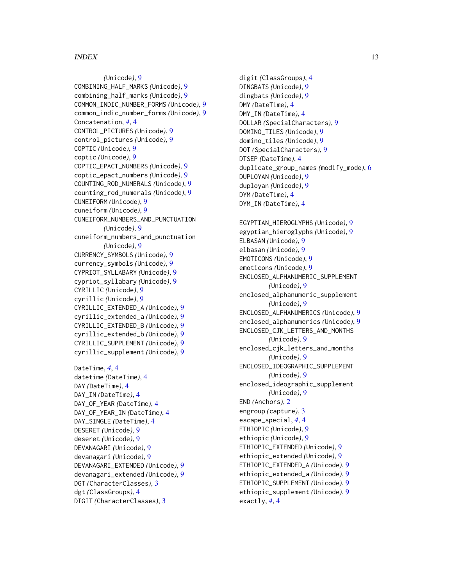#### INDEX  $\blacksquare$

*(*Unicode*)*, [9](#page-8-0) COMBINING\_HALF\_MARKS *(*Unicode*)*, [9](#page-8-0) combining\_half\_marks *(*Unicode*)*, [9](#page-8-0) COMMON\_INDIC\_NUMBER\_FORMS *(*Unicode*)*, [9](#page-8-0) common\_indic\_number\_forms *(*Unicode*)*, [9](#page-8-0) Concatenation, *[4](#page-3-0)*, [4](#page-3-0) CONTROL\_PICTURES *(*Unicode*)*, [9](#page-8-0) control\_pictures *(*Unicode*)*, [9](#page-8-0) COPTIC *(*Unicode*)*, [9](#page-8-0) coptic *(*Unicode*)*, [9](#page-8-0) COPTIC\_EPACT\_NUMBERS *(*Unicode*)*, [9](#page-8-0) coptic\_epact\_numbers *(*Unicode*)*, [9](#page-8-0) COUNTING\_ROD\_NUMERALS *(*Unicode*)*, [9](#page-8-0) counting\_rod\_numerals *(*Unicode*)*, [9](#page-8-0) CUNEIFORM *(*Unicode*)*, [9](#page-8-0) cuneiform *(*Unicode*)*, [9](#page-8-0) CUNEIFORM\_NUMBERS\_AND\_PUNCTUATION *(*Unicode*)*, [9](#page-8-0) cuneiform\_numbers\_and\_punctuation *(*Unicode*)*, [9](#page-8-0) CURRENCY\_SYMBOLS *(*Unicode*)*, [9](#page-8-0) currency\_symbols *(*Unicode*)*, [9](#page-8-0) CYPRIOT\_SYLLABARY *(*Unicode*)*, [9](#page-8-0) cypriot\_syllabary *(*Unicode*)*, [9](#page-8-0) CYRILLIC *(*Unicode*)*, [9](#page-8-0) cyrillic *(*Unicode*)*, [9](#page-8-0) CYRILLIC\_EXTENDED\_A *(*Unicode*)*, [9](#page-8-0) cyrillic\_extended\_a *(*Unicode*)*, [9](#page-8-0) CYRILLIC\_EXTENDED\_B *(*Unicode*)*, [9](#page-8-0) cyrillic\_extended\_b *(*Unicode*)*, [9](#page-8-0) CYRILLIC\_SUPPLEMENT *(*Unicode*)*, [9](#page-8-0) cyrillic\_supplement *(*Unicode*)*, [9](#page-8-0)

```
DateTime, 4, 4
datetime (DateTime), 4
DAY (DateTime), 4
DAY_IN (DateTime), 4
DAY_OF_YEAR (DateTime), 4
DAY_OF_YEAR_IN (DateTime), 4
DAY_SINGLE (DateTime), 4
DESERET (Unicode), 9
deseret (Unicode), 9
DEVANAGARI (Unicode), 9
devanagari (Unicode), 9
DEVANAGARI_EXTENDED (Unicode), 9
devanagari_extended (Unicode), 9
DGT (CharacterClasses), 3
dgt (ClassGroups), 4
DIGIT (CharacterClasses), 3
```
digit *(*ClassGroups*)*, [4](#page-3-0) DINGBATS *(*Unicode*)*, [9](#page-8-0) dingbats *(*Unicode*)*, [9](#page-8-0) DMY *(*DateTime*)*, [4](#page-3-0) DMY\_IN *(*DateTime*)*, [4](#page-3-0) DOLLAR *(*SpecialCharacters*)*, [9](#page-8-0) DOMINO\_TILES *(*Unicode*)*, [9](#page-8-0) domino\_tiles *(*Unicode*)*, [9](#page-8-0) DOT *(*SpecialCharacters*)*, [9](#page-8-0) DTSEP *(*DateTime*)*, [4](#page-3-0) duplicate\_group\_names *(*modify\_mode*)*, [6](#page-5-0) DUPLOYAN *(*Unicode*)*, [9](#page-8-0) duployan *(*Unicode*)*, [9](#page-8-0) DYM *(*DateTime*)*, [4](#page-3-0) DYM\_IN *(*DateTime*)*, [4](#page-3-0) EGYPTIAN\_HIEROGLYPHS *(*Unicode*)*, [9](#page-8-0) egyptian\_hieroglyphs *(*Unicode*)*, [9](#page-8-0) ELBASAN *(*Unicode*)*, [9](#page-8-0) elbasan *(*Unicode*)*, [9](#page-8-0) EMOTICONS *(*Unicode*)*, [9](#page-8-0) emoticons *(*Unicode*)*, [9](#page-8-0) ENCLOSED\_ALPHANUMERIC\_SUPPLEMENT *(*Unicode*)*, [9](#page-8-0) enclosed\_alphanumeric\_supplement *(*Unicode*)*, [9](#page-8-0) ENCLOSED\_ALPHANUMERICS *(*Unicode*)*, [9](#page-8-0) enclosed\_alphanumerics *(*Unicode*)*, [9](#page-8-0) ENCLOSED\_CJK\_LETTERS\_AND\_MONTHS *(*Unicode*)*, [9](#page-8-0) enclosed\_cjk\_letters\_and\_months *(*Unicode*)*, [9](#page-8-0) ENCLOSED\_IDEOGRAPHIC\_SUPPLEMENT *(*Unicode*)*, [9](#page-8-0) enclosed\_ideographic\_supplement *(*Unicode*)*, [9](#page-8-0) END *(*Anchors*)*, [2](#page-1-0) engroup *(*capture*)*, [3](#page-2-0) escape\_special, *[4](#page-3-0)*, [4](#page-3-0) ETHIOPIC *(*Unicode*)*, [9](#page-8-0) ethiopic *(*Unicode*)*, [9](#page-8-0) ETHIOPIC\_EXTENDED *(*Unicode*)*, [9](#page-8-0) ethiopic\_extended *(*Unicode*)*, [9](#page-8-0) ETHIOPIC\_EXTENDED\_A *(*Unicode*)*, [9](#page-8-0) ethiopic\_extended\_a *(*Unicode*)*, [9](#page-8-0) ETHIOPIC\_SUPPLEMENT *(*Unicode*)*, [9](#page-8-0) ethiopic\_supplement *(*Unicode*)*, [9](#page-8-0) exactly, *[4](#page-3-0)*, [4](#page-3-0)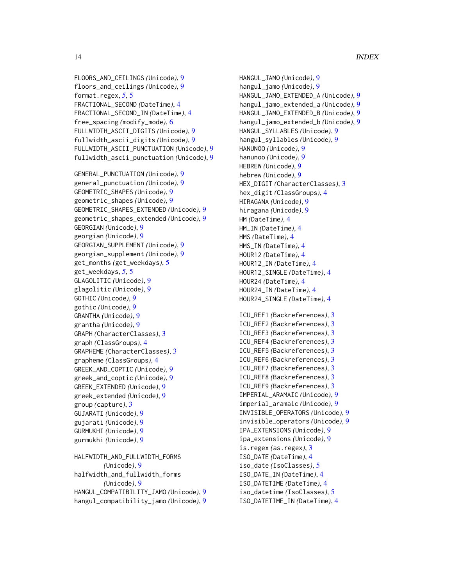```
FLOORS_AND_CEILINGS (Unicode), 9
floors_and_ceilings (Unicode), 9
format.regex, 5, 5
FRACTIONAL_SECOND (DateTime), 4
FRACTIONAL_SECOND_IN (DateTime), 4
free_spacing (modify_mode), 6
FULLWIDTH_ASCII_DIGITS (Unicode), 9
fullwidth_ascii_digits (Unicode), 9
FULLWIDTH_ASCII_PUNCTUATION (Unicode), 9
fullwidth_ascii_punctuation (Unicode), 9
GENERAL_PUNCTUATION (Unicode), 9
general_punctuation (Unicode), 9
GEOMETRIC_SHAPES (Unicode), 9
geometric_shapes (Unicode), 9
GEOMETRIC_SHAPES_EXTENDED (Unicode), 9
geometric_shapes_extended (Unicode), 9
GEORGIAN (Unicode), 9
georgian (Unicode), 9
GEORGIAN_SUPPLEMENT (Unicode), 9
georgian_supplement (Unicode), 9
get_months (get_weekdays), 5
get_weekdays, 5, 5
GLAGOLITIC (Unicode), 9
glagolitic (Unicode), 9
GOTHIC (Unicode), 9
gothic (Unicode), 9
GRANTHA (Unicode), 9
grantha (Unicode), 9
GRAPH (CharacterClasses), 3
graph (ClassGroups), 4
GRAPHEME (CharacterClasses), 3
grapheme (ClassGroups), 4
GREEK_AND_COPTIC (Unicode), 9
greek_and_coptic (Unicode), 9
GREEK_EXTENDED (Unicode), 9
greek_extended (Unicode), 9
group (capture), 3
GUJARATI (Unicode), 9
gujarati (Unicode), 9
GURMUKHI (Unicode), 9
gurmukhi (Unicode), 9
HALFWIDTH_AND_FULLWIDTH_FORMS
        (Unicode), 9
halfwidth_and_fullwidth_forms
        (Unicode), 9
```
HANGUL\_COMPATIBILITY\_JAMO *(*Unicode*)*, [9](#page-8-0) hangul\_compatibility\_jamo *(*Unicode*)*, [9](#page-8-0) hangul\_jamo\_extended\_b *(*Unicode*)*, [9](#page-8-0) HANGUL\_SYLLABLES *(*Unicode*)*, [9](#page-8-0) hangul\_syllables *(*Unicode*)*, [9](#page-8-0) HANUNOO *(*Unicode*)*, [9](#page-8-0) hanunoo *(*Unicode*)*, [9](#page-8-0) HEBREW *(*Unicode*)*, [9](#page-8-0) hebrew *(*Unicode*)*, [9](#page-8-0) HEX\_DIGIT *(*CharacterClasses*)*, [3](#page-2-0) hex\_digit *(*ClassGroups*)*, [4](#page-3-0) HIRAGANA *(*Unicode*)*, [9](#page-8-0) hiragana *(*Unicode*)*, [9](#page-8-0) HM *(*DateTime*)*, [4](#page-3-0) HM\_IN *(*DateTime*)*, [4](#page-3-0) HMS *(*DateTime*)*, [4](#page-3-0) HMS\_IN *(*DateTime*)*, [4](#page-3-0) HOUR12 *(*DateTime*)*, [4](#page-3-0) HOUR12\_IN *(*DateTime*)*, [4](#page-3-0) HOUR12\_SINGLE *(*DateTime*)*, [4](#page-3-0) HOUR24 *(*DateTime*)*, [4](#page-3-0) HOUR24\_IN *(*DateTime*)*, [4](#page-3-0) HOUR24\_SINGLE *(*DateTime*)*, [4](#page-3-0) ICU\_REF1 *(*Backreferences*)*, [3](#page-2-0) ICU\_REF2 *(*Backreferences*)*, [3](#page-2-0) ICU\_REF3 *(*Backreferences*)*, [3](#page-2-0) ICU\_REF4 *(*Backreferences*)*, [3](#page-2-0) ICU\_REF5 *(*Backreferences*)*, [3](#page-2-0) ICU\_REF6 *(*Backreferences*)*, [3](#page-2-0) ICU\_REF7 *(*Backreferences*)*, [3](#page-2-0) ICU\_REF8 *(*Backreferences*)*, [3](#page-2-0) ICU\_REF9 *(*Backreferences*)*, [3](#page-2-0) IMPERIAL\_ARAMAIC *(*Unicode*)*, [9](#page-8-0) imperial\_aramaic *(*Unicode*)*, [9](#page-8-0) INVISIBLE\_OPERATORS *(*Unicode*)*, [9](#page-8-0) invisible\_operators *(*Unicode*)*, [9](#page-8-0) IPA\_EXTENSIONS *(*Unicode*)*, [9](#page-8-0) ipa\_extensions *(*Unicode*)*, [9](#page-8-0) is.regex *(*as.regex*)*, [3](#page-2-0) ISO\_DATE *(*DateTime*)*, [4](#page-3-0) iso\_date *(*IsoClasses*)*, [5](#page-4-0) ISO\_DATE\_IN *(*DateTime*)*, [4](#page-3-0)

ISO\_DATETIME *(*DateTime*)*, [4](#page-3-0) iso\_datetime *(*IsoClasses*)*, [5](#page-4-0) ISO\_DATETIME\_IN *(*DateTime*)*, [4](#page-3-0)

HANGUL\_JAMO *(*Unicode*)*, [9](#page-8-0) hangul\_jamo *(*Unicode*)*, [9](#page-8-0)

HANGUL\_JAMO\_EXTENDED\_A *(*Unicode*)*, [9](#page-8-0) hangul\_jamo\_extended\_a *(*Unicode*)*, [9](#page-8-0) HANGUL\_JAMO\_EXTENDED\_B *(*Unicode*)*, [9](#page-8-0)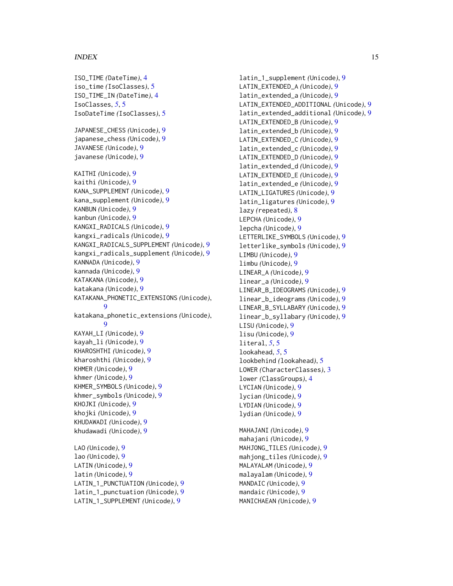#### $I<sub>15</sub>$  in  $I<sub>15</sub>$  in  $I<sub>15</sub>$  in  $I<sub>15</sub>$  in  $I<sub>15</sub>$  in  $I<sub>15</sub>$  in  $I<sub>15</sub>$  in  $I<sub>15</sub>$  in  $I<sub>15</sub>$  in  $I<sub>16</sub>$  in  $I<sub>16</sub>$  in  $I<sub>16</sub>$  in  $I<sub>16</sub>$  in  $I<sub>16</sub>$  in  $I<sub>16</sub>$

ISO\_TIME *(*DateTime*)*, [4](#page-3-0) iso\_time *(*IsoClasses*)*, [5](#page-4-0) ISO\_TIME\_IN *(*DateTime*)*, [4](#page-3-0) IsoClasses, *[5](#page-4-0)*, [5](#page-4-0) IsoDateTime *(*IsoClasses*)*, [5](#page-4-0) JAPANESE\_CHESS *(*Unicode*)*, [9](#page-8-0) japanese\_chess *(*Unicode*)*, [9](#page-8-0) JAVANESE *(*Unicode*)*, [9](#page-8-0) javanese *(*Unicode*)*, [9](#page-8-0) KAITHI *(*Unicode*)*, [9](#page-8-0) kaithi *(*Unicode*)*, [9](#page-8-0) KANA\_SUPPLEMENT *(*Unicode*)*, [9](#page-8-0) kana\_supplement *(*Unicode*)*, [9](#page-8-0) KANBUN *(*Unicode*)*, [9](#page-8-0) kanbun *(*Unicode*)*, [9](#page-8-0) KANGXI\_RADICALS *(*Unicode*)*, [9](#page-8-0) kangxi\_radicals *(*Unicode*)*, [9](#page-8-0) KANGXI\_RADICALS\_SUPPLEMENT *(*Unicode*)*, [9](#page-8-0) kangxi\_radicals\_supplement *(*Unicode*)*, [9](#page-8-0) KANNADA *(*Unicode*)*, [9](#page-8-0) kannada *(*Unicode*)*, [9](#page-8-0) KATAKANA *(*Unicode*)*, [9](#page-8-0) katakana *(*Unicode*)*, [9](#page-8-0) KATAKANA\_PHONETIC\_EXTENSIONS *(*Unicode*)*, [9](#page-8-0) katakana\_phonetic\_extensions *(*Unicode*)*, [9](#page-8-0) KAYAH\_LI *(*Unicode*)*, [9](#page-8-0) kayah\_li *(*Unicode*)*, [9](#page-8-0) KHAROSHTHI *(*Unicode*)*, [9](#page-8-0) kharoshthi *(*Unicode*)*, [9](#page-8-0) KHMER *(*Unicode*)*, [9](#page-8-0) khmer *(*Unicode*)*, [9](#page-8-0) KHMER\_SYMBOLS *(*Unicode*)*, [9](#page-8-0) khmer\_symbols *(*Unicode*)*, [9](#page-8-0) KHOJKI *(*Unicode*)*, [9](#page-8-0) khojki *(*Unicode*)*, [9](#page-8-0) KHUDAWADI *(*Unicode*)*, [9](#page-8-0) khudawadi *(*Unicode*)*, [9](#page-8-0) LAO *(*Unicode*)*, [9](#page-8-0) lao *(*Unicode*)*, [9](#page-8-0) LATIN *(*Unicode*)*, [9](#page-8-0) latin *(*Unicode*)*, [9](#page-8-0) LATIN\_1\_PUNCTUATION *(*Unicode*)*, [9](#page-8-0)

latin\_1\_punctuation *(*Unicode*)*, [9](#page-8-0) LATIN\_1\_SUPPLEMENT *(*Unicode*)*, [9](#page-8-0)

latin\_1\_supplement *(*Unicode*)*, [9](#page-8-0) LATIN\_EXTENDED\_A *(*Unicode*)*, [9](#page-8-0) latin\_extended\_a *(*Unicode*)*, [9](#page-8-0) LATIN\_EXTENDED\_ADDITIONAL *(*Unicode*)*, [9](#page-8-0) latin\_extended\_additional *(*Unicode*)*, [9](#page-8-0) LATIN\_EXTENDED\_B *(*Unicode*)*, [9](#page-8-0) latin\_extended\_b *(*Unicode*)*, [9](#page-8-0) LATIN\_EXTENDED\_C *(*Unicode*)*, [9](#page-8-0) latin\_extended\_c *(*Unicode*)*, [9](#page-8-0) LATIN\_EXTENDED\_D *(*Unicode*)*, [9](#page-8-0) latin\_extended\_d *(*Unicode*)*, [9](#page-8-0) LATIN\_EXTENDED\_E *(*Unicode*)*, [9](#page-8-0) latin\_extended\_e *(*Unicode*)*, [9](#page-8-0) LATIN\_LIGATURES *(*Unicode*)*, [9](#page-8-0) latin\_ligatures *(*Unicode*)*, [9](#page-8-0) lazy *(*repeated*)*, [8](#page-7-0) LEPCHA *(*Unicode*)*, [9](#page-8-0) lepcha *(*Unicode*)*, [9](#page-8-0) LETTERLIKE\_SYMBOLS *(*Unicode*)*, [9](#page-8-0) letterlike\_symbols *(*Unicode*)*, [9](#page-8-0) LIMBU *(*Unicode*)*, [9](#page-8-0) limbu *(*Unicode*)*, [9](#page-8-0) LINEAR\_A *(*Unicode*)*, [9](#page-8-0) linear\_a *(*Unicode*)*, [9](#page-8-0) LINEAR\_B\_IDEOGRAMS *(*Unicode*)*, [9](#page-8-0) linear\_b\_ideograms *(*Unicode*)*, [9](#page-8-0) LINEAR\_B\_SYLLABARY *(*Unicode*)*, [9](#page-8-0) linear\_b\_syllabary *(*Unicode*)*, [9](#page-8-0) LISU *(*Unicode*)*, [9](#page-8-0) lisu *(*Unicode*)*, [9](#page-8-0) literal, *[5](#page-4-0)*, [5](#page-4-0) lookahead, *[5](#page-4-0)*, [5](#page-4-0) lookbehind *(*lookahead*)*, [5](#page-4-0) LOWER *(*CharacterClasses*)*, [3](#page-2-0) lower *(*ClassGroups*)*, [4](#page-3-0) LYCIAN *(*Unicode*)*, [9](#page-8-0) lycian *(*Unicode*)*, [9](#page-8-0) LYDIAN *(*Unicode*)*, [9](#page-8-0) lydian *(*Unicode*)*, [9](#page-8-0) MAHAJANI *(*Unicode*)*, [9](#page-8-0) mahajani *(*Unicode*)*, [9](#page-8-0) MAHJONG\_TILES *(*Unicode*)*, [9](#page-8-0) mahjong\_tiles *(*Unicode*)*, [9](#page-8-0) MALAYALAM *(*Unicode*)*, [9](#page-8-0) malayalam *(*Unicode*)*, [9](#page-8-0) MANDAIC *(*Unicode*)*, [9](#page-8-0) mandaic *(*Unicode*)*, [9](#page-8-0) MANICHAEAN *(*Unicode*)*, [9](#page-8-0)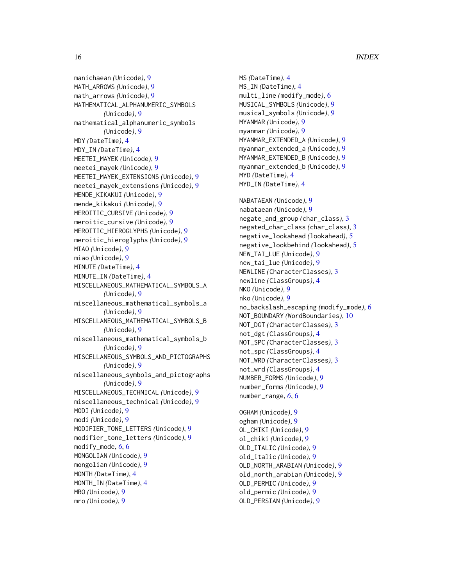manichaean *(*Unicode*)*, [9](#page-8-0) MATH\_ARROWS *(*Unicode*)*, [9](#page-8-0) math\_arrows *(*Unicode*)*, [9](#page-8-0) MATHEMATICAL\_ALPHANUMERIC\_SYMBOLS *(*Unicode*)*, [9](#page-8-0) mathematical\_alphanumeric\_symbols *(*Unicode*)*, [9](#page-8-0) MDY *(*DateTime*)*, [4](#page-3-0) MDY\_IN *(*DateTime*)*, [4](#page-3-0) MEETEI\_MAYEK *(*Unicode*)*, [9](#page-8-0) meetei\_mayek *(*Unicode*)*, [9](#page-8-0) MEETEI\_MAYEK\_EXTENSIONS *(*Unicode*)*, [9](#page-8-0) meetei\_mayek\_extensions *(*Unicode*)*, [9](#page-8-0) MENDE\_KIKAKUI *(*Unicode*)*, [9](#page-8-0) mende\_kikakui *(*Unicode*)*, [9](#page-8-0) MEROITIC\_CURSIVE *(*Unicode*)*, [9](#page-8-0) meroitic\_cursive *(*Unicode*)*, [9](#page-8-0) MEROITIC\_HIEROGLYPHS *(*Unicode*)*, [9](#page-8-0) meroitic\_hieroglyphs *(*Unicode*)*, [9](#page-8-0) MIAO *(*Unicode*)*, [9](#page-8-0) miao *(*Unicode*)*, [9](#page-8-0) MINUTE *(*DateTime*)*, [4](#page-3-0) MINUTE\_IN *(*DateTime*)*, [4](#page-3-0) MISCELLANEOUS\_MATHEMATICAL\_SYMBOLS\_A *(*Unicode*)*, [9](#page-8-0) miscellaneous\_mathematical\_symbols\_a *(*Unicode*)*, [9](#page-8-0) MISCELLANEOUS\_MATHEMATICAL\_SYMBOLS\_B *(*Unicode*)*, [9](#page-8-0) miscellaneous\_mathematical\_symbols\_b *(*Unicode*)*, [9](#page-8-0) MISCELLANEOUS\_SYMBOLS\_AND\_PICTOGRAPHS *(*Unicode*)*, [9](#page-8-0) miscellaneous\_symbols\_and\_pictographs *(*Unicode*)*, [9](#page-8-0) MISCELLANEOUS\_TECHNICAL *(*Unicode*)*, [9](#page-8-0) miscellaneous\_technical *(*Unicode*)*, [9](#page-8-0) MODI *(*Unicode*)*, [9](#page-8-0) modi *(*Unicode*)*, [9](#page-8-0) MODIFIER\_TONE\_LETTERS *(*Unicode*)*, [9](#page-8-0) modifier\_tone\_letters *(*Unicode*)*, [9](#page-8-0) modify\_mode, *[6](#page-5-0)*, [6](#page-5-0) MONGOLIAN *(*Unicode*)*, [9](#page-8-0) mongolian *(*Unicode*)*, [9](#page-8-0) MONTH *(*DateTime*)*, [4](#page-3-0) MONTH\_IN *(*DateTime*)*, [4](#page-3-0) MRO *(*Unicode*)*, [9](#page-8-0) mro *(*Unicode*)*, [9](#page-8-0)

MS *(*DateTime*)*, [4](#page-3-0) MS\_IN *(*DateTime*)*, [4](#page-3-0) multi\_line *(*modify\_mode*)*, [6](#page-5-0) MUSICAL\_SYMBOLS *(*Unicode*)*, [9](#page-8-0) musical\_symbols *(*Unicode*)*, [9](#page-8-0) MYANMAR *(*Unicode*)*, [9](#page-8-0) myanmar *(*Unicode*)*, [9](#page-8-0) MYANMAR\_EXTENDED\_A *(*Unicode*)*, [9](#page-8-0) myanmar\_extended\_a *(*Unicode*)*, [9](#page-8-0) MYANMAR\_EXTENDED\_B *(*Unicode*)*, [9](#page-8-0) myanmar\_extended\_b *(*Unicode*)*, [9](#page-8-0) MYD *(*DateTime*)*, [4](#page-3-0) MYD\_IN *(*DateTime*)*, [4](#page-3-0) NABATAEAN *(*Unicode*)*, [9](#page-8-0) nabataean *(*Unicode*)*, [9](#page-8-0) negate\_and\_group *(*char\_class*)*, [3](#page-2-0) negated\_char\_class *(*char\_class*)*, [3](#page-2-0) negative\_lookahead *(*lookahead*)*, [5](#page-4-0) negative\_lookbehind *(*lookahead*)*, [5](#page-4-0) NEW\_TAI\_LUE *(*Unicode*)*, [9](#page-8-0) new\_tai\_lue *(*Unicode*)*, [9](#page-8-0) NEWLINE *(*CharacterClasses*)*, [3](#page-2-0) newline *(*ClassGroups*)*, [4](#page-3-0) NKO *(*Unicode*)*, [9](#page-8-0) nko *(*Unicode*)*, [9](#page-8-0) no\_backslash\_escaping *(*modify\_mode*)*, [6](#page-5-0) NOT\_BOUNDARY *(*WordBoundaries*)*, [10](#page-9-0) NOT\_DGT *(*CharacterClasses*)*, [3](#page-2-0) not\_dgt *(*ClassGroups*)*, [4](#page-3-0) NOT\_SPC *(*CharacterClasses*)*, [3](#page-2-0) not\_spc *(*ClassGroups*)*, [4](#page-3-0) NOT\_WRD *(*CharacterClasses*)*, [3](#page-2-0) not\_wrd *(*ClassGroups*)*, [4](#page-3-0) NUMBER\_FORMS *(*Unicode*)*, [9](#page-8-0) number\_forms *(*Unicode*)*, [9](#page-8-0) number\_range, *[6](#page-5-0)*, [6](#page-5-0) OGHAM *(*Unicode*)*, [9](#page-8-0) ogham *(*Unicode*)*, [9](#page-8-0) OL\_CHIKI *(*Unicode*)*, [9](#page-8-0) ol\_chiki *(*Unicode*)*, [9](#page-8-0) OLD\_ITALIC *(*Unicode*)*, [9](#page-8-0) old\_italic *(*Unicode*)*, [9](#page-8-0) OLD\_NORTH\_ARABIAN *(*Unicode*)*, [9](#page-8-0) old\_north\_arabian *(*Unicode*)*, [9](#page-8-0)

OLD\_PERMIC *(*Unicode*)*, [9](#page-8-0) old\_permic *(*Unicode*)*, [9](#page-8-0) OLD\_PERSIAN *(*Unicode*)*, [9](#page-8-0)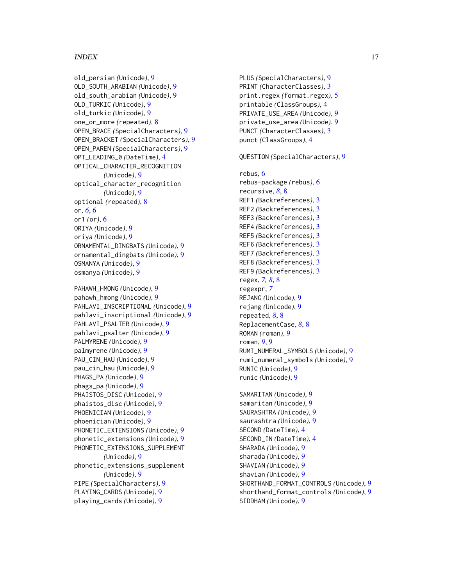#### $I$ TNDEX  $17$

old\_persian *(*Unicode*)*, [9](#page-8-0) OLD\_SOUTH\_ARABIAN *(*Unicode*)*, [9](#page-8-0) old\_south\_arabian *(*Unicode*)*, [9](#page-8-0) OLD\_TURKIC *(*Unicode*)*, [9](#page-8-0) old\_turkic *(*Unicode*)*, [9](#page-8-0) one\_or\_more *(*repeated*)*, [8](#page-7-0) OPEN\_BRACE *(*SpecialCharacters*)*, [9](#page-8-0) OPEN\_BRACKET *(*SpecialCharacters*)*, [9](#page-8-0) OPEN\_PAREN *(*SpecialCharacters*)*, [9](#page-8-0) OPT\_LEADING\_0 *(*DateTime*)*, [4](#page-3-0) OPTICAL\_CHARACTER\_RECOGNITION *(*Unicode*)*, [9](#page-8-0) optical\_character\_recognition *(*Unicode*)*, [9](#page-8-0) optional *(*repeated*)*, [8](#page-7-0) or, *[6](#page-5-0)*, [6](#page-5-0) or1 *(*or*)*, [6](#page-5-0) ORIYA *(*Unicode*)*, [9](#page-8-0) oriya *(*Unicode*)*, [9](#page-8-0) ORNAMENTAL\_DINGBATS *(*Unicode*)*, [9](#page-8-0) ornamental\_dingbats *(*Unicode*)*, [9](#page-8-0) OSMANYA *(*Unicode*)*, [9](#page-8-0) osmanya *(*Unicode*)*, [9](#page-8-0)

PAHAWH\_HMONG *(*Unicode*)*, [9](#page-8-0) pahawh\_hmong *(*Unicode*)*, [9](#page-8-0) PAHLAVI\_INSCRIPTIONAL *(*Unicode*)*, [9](#page-8-0) pahlavi\_inscriptional *(*Unicode*)*, [9](#page-8-0) PAHLAVI\_PSALTER *(*Unicode*)*, [9](#page-8-0) pahlavi\_psalter *(*Unicode*)*, [9](#page-8-0) PALMYRENE *(*Unicode*)*, [9](#page-8-0) palmyrene *(*Unicode*)*, [9](#page-8-0) PAU\_CIN\_HAU *(*Unicode*)*, [9](#page-8-0) pau\_cin\_hau *(*Unicode*)*, [9](#page-8-0) PHAGS\_PA *(*Unicode*)*, [9](#page-8-0) phags\_pa *(*Unicode*)*, [9](#page-8-0) PHAISTOS\_DISC *(*Unicode*)*, [9](#page-8-0) phaistos\_disc *(*Unicode*)*, [9](#page-8-0) PHOENICIAN *(*Unicode*)*, [9](#page-8-0) phoenician *(*Unicode*)*, [9](#page-8-0) PHONETIC\_EXTENSIONS *(*Unicode*)*, [9](#page-8-0) phonetic\_extensions *(*Unicode*)*, [9](#page-8-0) PHONETIC\_EXTENSIONS\_SUPPLEMENT *(*Unicode*)*, [9](#page-8-0) phonetic\_extensions\_supplement *(*Unicode*)*, [9](#page-8-0) PIPE *(*SpecialCharacters*)*, [9](#page-8-0) PLAYING\_CARDS *(*Unicode*)*, [9](#page-8-0) playing\_cards *(*Unicode*)*, [9](#page-8-0)

PLUS *(*SpecialCharacters*)*, [9](#page-8-0) PRINT *(*CharacterClasses*)*, [3](#page-2-0) print.regex *(*format.regex*)*, [5](#page-4-0) printable *(*ClassGroups*)*, [4](#page-3-0) PRIVATE\_USE\_AREA *(*Unicode*)*, [9](#page-8-0) private\_use\_area *(*Unicode*)*, [9](#page-8-0) PUNCT *(*CharacterClasses*)*, [3](#page-2-0) punct *(*ClassGroups*)*, [4](#page-3-0)

QUESTION *(*SpecialCharacters*)*, [9](#page-8-0)

### rebus, [6](#page-5-0) rebus-package *(*rebus*)*, [6](#page-5-0) recursive, *[8](#page-7-0)*, [8](#page-7-0) REF1 *(*Backreferences*)*, [3](#page-2-0) REF2 *(*Backreferences*)*, [3](#page-2-0) REF3 *(*Backreferences*)*, [3](#page-2-0) REF4 *(*Backreferences*)*, [3](#page-2-0) REF5 *(*Backreferences*)*, [3](#page-2-0) REF6 *(*Backreferences*)*, [3](#page-2-0) REF7 *(*Backreferences*)*, [3](#page-2-0) REF8 *(*Backreferences*)*, [3](#page-2-0) REF9 *(*Backreferences*)*, [3](#page-2-0) regex, *[7,](#page-6-0) [8](#page-7-0)*, [8](#page-7-0) regexpr, *[7](#page-6-0)* REJANG *(*Unicode*)*, [9](#page-8-0) rejang *(*Unicode*)*, [9](#page-8-0) repeated, *[8](#page-7-0)*, [8](#page-7-0) ReplacementCase, *[8](#page-7-0)*, [8](#page-7-0) ROMAN *(*roman*)*, [9](#page-8-0) roman, *[9](#page-8-0)*, [9](#page-8-0) RUMI\_NUMERAL\_SYMBOLS *(*Unicode*)*, [9](#page-8-0) rumi\_numeral\_symbols *(*Unicode*)*, [9](#page-8-0) RUNIC *(*Unicode*)*, [9](#page-8-0) runic *(*Unicode*)*, [9](#page-8-0)

SAMARITAN *(*Unicode*)*, [9](#page-8-0) samaritan *(*Unicode*)*, [9](#page-8-0) SAURASHTRA *(*Unicode*)*, [9](#page-8-0) saurashtra *(*Unicode*)*, [9](#page-8-0) SECOND *(*DateTime*)*, [4](#page-3-0) SECOND\_IN *(*DateTime*)*, [4](#page-3-0) SHARADA *(*Unicode*)*, [9](#page-8-0) sharada *(*Unicode*)*, [9](#page-8-0) SHAVIAN *(*Unicode*)*, [9](#page-8-0) shavian *(*Unicode*)*, [9](#page-8-0) SHORTHAND\_FORMAT\_CONTROLS *(*Unicode*)*, [9](#page-8-0) shorthand\_format\_controls *(*Unicode*)*, [9](#page-8-0) SIDDHAM *(*Unicode*)*, [9](#page-8-0)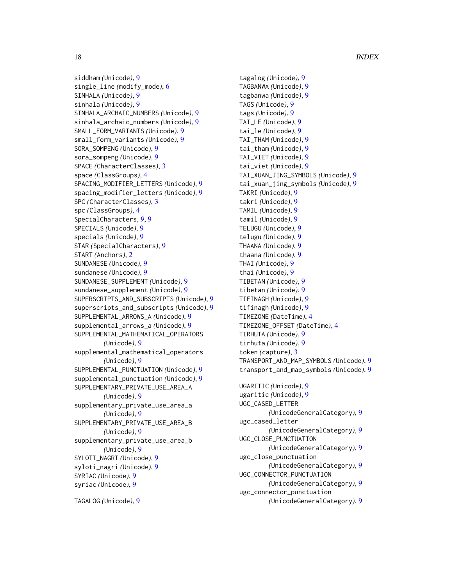siddham *(*Unicode*)*, [9](#page-8-0) single\_line *(*modify\_mode*)*, [6](#page-5-0) SINHALA *(*Unicode*)*, [9](#page-8-0) sinhala *(*Unicode*)*, [9](#page-8-0) SINHALA\_ARCHAIC\_NUMBERS *(*Unicode*)*, [9](#page-8-0) sinhala\_archaic\_numbers *(*Unicode*)*, [9](#page-8-0) SMALL\_FORM\_VARIANTS *(*Unicode*)*, [9](#page-8-0) small\_form\_variants *(*Unicode*)*, [9](#page-8-0) SORA\_SOMPENG *(*Unicode*)*, [9](#page-8-0) sora\_sompeng *(*Unicode*)*, [9](#page-8-0) SPACE *(*CharacterClasses*)*, [3](#page-2-0) space *(*ClassGroups*)*, [4](#page-3-0) SPACING\_MODIFIER\_LETTERS *(*Unicode*)*, [9](#page-8-0) spacing\_modifier\_letters *(*Unicode*)*, [9](#page-8-0) SPC *(*CharacterClasses*)*, [3](#page-2-0) spc *(*ClassGroups*)*, [4](#page-3-0) SpecialCharacters, *[9](#page-8-0)*, [9](#page-8-0) SPECIALS *(*Unicode*)*, [9](#page-8-0) specials *(*Unicode*)*, [9](#page-8-0) STAR *(*SpecialCharacters*)*, [9](#page-8-0) START *(*Anchors*)*, [2](#page-1-0) SUNDANESE *(*Unicode*)*, [9](#page-8-0) sundanese *(*Unicode*)*, [9](#page-8-0) SUNDANESE\_SUPPLEMENT *(*Unicode*)*, [9](#page-8-0) sundanese\_supplement *(*Unicode*)*, [9](#page-8-0) SUPERSCRIPTS\_AND\_SUBSCRIPTS *(*Unicode*)*, [9](#page-8-0) superscripts\_and\_subscripts *(*Unicode*)*, [9](#page-8-0) SUPPLEMENTAL\_ARROWS\_A *(*Unicode*)*, [9](#page-8-0) supplemental\_arrows\_a *(*Unicode*)*, [9](#page-8-0) SUPPLEMENTAL\_MATHEMATICAL\_OPERATORS *(*Unicode*)*, [9](#page-8-0) supplemental\_mathematical\_operators *(*Unicode*)*, [9](#page-8-0) SUPPLEMENTAL\_PUNCTUATION *(*Unicode*)*, [9](#page-8-0) supplemental\_punctuation *(*Unicode*)*, [9](#page-8-0) SUPPLEMENTARY\_PRIVATE\_USE\_AREA\_A *(*Unicode*)*, [9](#page-8-0) supplementary\_private\_use\_area\_a *(*Unicode*)*, [9](#page-8-0) SUPPLEMENTARY\_PRIVATE\_USE\_AREA\_B *(*Unicode*)*, [9](#page-8-0) supplementary\_private\_use\_area\_b *(*Unicode*)*, [9](#page-8-0) SYLOTI\_NAGRI *(*Unicode*)*, [9](#page-8-0) syloti\_nagri *(*Unicode*)*, [9](#page-8-0) SYRIAC *(*Unicode*)*, [9](#page-8-0) syriac *(*Unicode*)*, [9](#page-8-0)

TAGALOG *(*Unicode*)*, [9](#page-8-0)

tagalog *(*Unicode*)*, [9](#page-8-0) TAGBANWA *(*Unicode*)*, [9](#page-8-0) tagbanwa *(*Unicode*)*, [9](#page-8-0) TAGS *(*Unicode*)*, [9](#page-8-0) tags *(*Unicode*)*, [9](#page-8-0) TAI\_LE *(*Unicode*)*, [9](#page-8-0) tai\_le *(*Unicode*)*, [9](#page-8-0) TAI\_THAM *(*Unicode*)*, [9](#page-8-0) tai\_tham *(*Unicode*)*, [9](#page-8-0) TAI\_VIET *(*Unicode*)*, [9](#page-8-0) tai\_viet *(*Unicode*)*, [9](#page-8-0) TAI\_XUAN\_JING\_SYMBOLS *(*Unicode*)*, [9](#page-8-0) tai\_xuan\_jing\_symbols *(*Unicode*)*, [9](#page-8-0) TAKRI *(*Unicode*)*, [9](#page-8-0) takri *(*Unicode*)*, [9](#page-8-0) TAMIL *(*Unicode*)*, [9](#page-8-0) tamil *(*Unicode*)*, [9](#page-8-0) TELUGU *(*Unicode*)*, [9](#page-8-0) telugu *(*Unicode*)*, [9](#page-8-0) THAANA *(*Unicode*)*, [9](#page-8-0) thaana *(*Unicode*)*, [9](#page-8-0) THAI *(*Unicode*)*, [9](#page-8-0) thai *(*Unicode*)*, [9](#page-8-0) TIBETAN *(*Unicode*)*, [9](#page-8-0) tibetan *(*Unicode*)*, [9](#page-8-0) TIFINAGH *(*Unicode*)*, [9](#page-8-0) tifinagh *(*Unicode*)*, [9](#page-8-0) TIMEZONE *(*DateTime*)*, [4](#page-3-0) TIMEZONE\_OFFSET *(*DateTime*)*, [4](#page-3-0) TIRHUTA *(*Unicode*)*, [9](#page-8-0) tirhuta *(*Unicode*)*, [9](#page-8-0) token *(*capture*)*, [3](#page-2-0) TRANSPORT\_AND\_MAP\_SYMBOLS *(*Unicode*)*, [9](#page-8-0) transport\_and\_map\_symbols *(*Unicode*)*, [9](#page-8-0) UGARITIC *(*Unicode*)*, [9](#page-8-0) ugaritic *(*Unicode*)*, [9](#page-8-0) UGC\_CASED\_LETTER *(*UnicodeGeneralCategory*)*, [9](#page-8-0) ugc\_cased\_letter *(*UnicodeGeneralCategory*)*, [9](#page-8-0) UGC\_CLOSE\_PUNCTUATION

*(*UnicodeGeneralCategory*)*, [9](#page-8-0) ugc\_close\_punctuation *(*UnicodeGeneralCategory*)*, [9](#page-8-0) UGC\_CONNECTOR\_PUNCTUATION *(*UnicodeGeneralCategory*)*, [9](#page-8-0) ugc\_connector\_punctuation *(*UnicodeGeneralCategory*)*, [9](#page-8-0)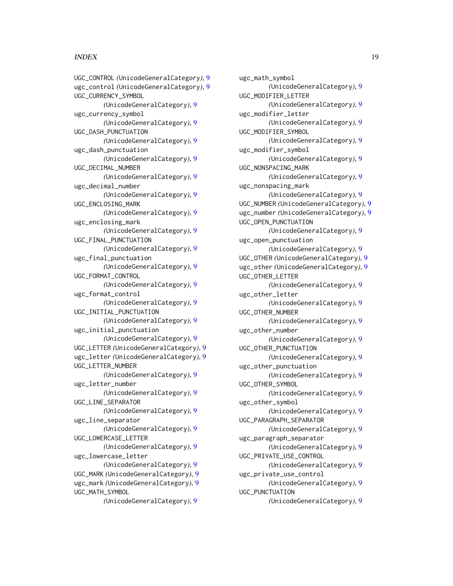#### INDEX  $19$

UGC\_CONTROL *(*UnicodeGeneralCategory*)*, [9](#page-8-0) ugc\_control *(*UnicodeGeneralCategory*)*, [9](#page-8-0) UGC\_CURRENCY\_SYMBOL *(*UnicodeGeneralCategory*)*, [9](#page-8-0) ugc\_currency\_symbol *(*UnicodeGeneralCategory*)*, [9](#page-8-0) UGC\_DASH\_PUNCTUATION *(*UnicodeGeneralCategory*)*, [9](#page-8-0) ugc\_dash\_punctuation *(*UnicodeGeneralCategory*)*, [9](#page-8-0) UGC\_DECIMAL\_NUMBER *(*UnicodeGeneralCategory*)*, [9](#page-8-0) ugc\_decimal\_number *(*UnicodeGeneralCategory*)*, [9](#page-8-0) UGC\_ENCLOSING\_MARK *(*UnicodeGeneralCategory*)*, [9](#page-8-0) ugc\_enclosing\_mark *(*UnicodeGeneralCategory*)*, [9](#page-8-0) UGC\_FINAL\_PUNCTUATION *(*UnicodeGeneralCategory*)*, [9](#page-8-0) ugc\_final\_punctuation *(*UnicodeGeneralCategory*)*, [9](#page-8-0) UGC\_FORMAT\_CONTROL *(*UnicodeGeneralCategory*)*, [9](#page-8-0) ugc\_format\_control *(*UnicodeGeneralCategory*)*, [9](#page-8-0) UGC\_INITIAL\_PUNCTUATION *(*UnicodeGeneralCategory*)*, [9](#page-8-0) ugc\_initial\_punctuation *(*UnicodeGeneralCategory*)*, [9](#page-8-0) UGC\_LETTER *(*UnicodeGeneralCategory*)*, [9](#page-8-0) ugc\_letter *(*UnicodeGeneralCategory*)*, [9](#page-8-0) UGC\_LETTER\_NUMBER *(*UnicodeGeneralCategory*)*, [9](#page-8-0) ugc\_letter\_number *(*UnicodeGeneralCategory*)*, [9](#page-8-0) UGC\_LINE\_SEPARATOR *(*UnicodeGeneralCategory*)*, [9](#page-8-0) ugc\_line\_separator *(*UnicodeGeneralCategory*)*, [9](#page-8-0) UGC\_LOWERCASE\_LETTER *(*UnicodeGeneralCategory*)*, [9](#page-8-0) ugc\_lowercase\_letter *(*UnicodeGeneralCategory*)*, [9](#page-8-0) UGC\_MARK *(*UnicodeGeneralCategory*)*, [9](#page-8-0) ugc\_mark *(*UnicodeGeneralCategory*)*, [9](#page-8-0) UGC\_MATH\_SYMBOL *(*UnicodeGeneralCategory*)*, [9](#page-8-0)

ugc\_math\_symbol *(*UnicodeGeneralCategory*)*, [9](#page-8-0) UGC\_MODIFIER\_LETTER *(*UnicodeGeneralCategory*)*, [9](#page-8-0) ugc\_modifier\_letter *(*UnicodeGeneralCategory*)*, [9](#page-8-0) UGC\_MODIFIER\_SYMBOL *(*UnicodeGeneralCategory*)*, [9](#page-8-0) ugc\_modifier\_symbol *(*UnicodeGeneralCategory*)*, [9](#page-8-0) UGC\_NONSPACING\_MARK *(*UnicodeGeneralCategory*)*, [9](#page-8-0) ugc\_nonspacing\_mark *(*UnicodeGeneralCategory*)*, [9](#page-8-0) UGC\_NUMBER *(*UnicodeGeneralCategory*)*, [9](#page-8-0) ugc\_number *(*UnicodeGeneralCategory*)*, [9](#page-8-0) UGC\_OPEN\_PUNCTUATION *(*UnicodeGeneralCategory*)*, [9](#page-8-0) ugc\_open\_punctuation *(*UnicodeGeneralCategory*)*, [9](#page-8-0) UGC\_OTHER *(*UnicodeGeneralCategory*)*, [9](#page-8-0) ugc\_other *(*UnicodeGeneralCategory*)*, [9](#page-8-0) UGC\_OTHER\_LETTER *(*UnicodeGeneralCategory*)*, [9](#page-8-0) ugc\_other\_letter *(*UnicodeGeneralCategory*)*, [9](#page-8-0) UGC\_OTHER\_NUMBER *(*UnicodeGeneralCategory*)*, [9](#page-8-0) ugc\_other\_number *(*UnicodeGeneralCategory*)*, [9](#page-8-0) UGC\_OTHER\_PUNCTUATION *(*UnicodeGeneralCategory*)*, [9](#page-8-0) ugc\_other\_punctuation *(*UnicodeGeneralCategory*)*, [9](#page-8-0) UGC\_OTHER\_SYMBOL *(*UnicodeGeneralCategory*)*, [9](#page-8-0) ugc\_other\_symbol *(*UnicodeGeneralCategory*)*, [9](#page-8-0) UGC\_PARAGRAPH\_SEPARATOR *(*UnicodeGeneralCategory*)*, [9](#page-8-0) ugc\_paragraph\_separator *(*UnicodeGeneralCategory*)*, [9](#page-8-0) UGC\_PRIVATE\_USE\_CONTROL *(*UnicodeGeneralCategory*)*, [9](#page-8-0) ugc\_private\_use\_control *(*UnicodeGeneralCategory*)*, [9](#page-8-0) UGC\_PUNCTUATION *(*UnicodeGeneralCategory*)*, [9](#page-8-0)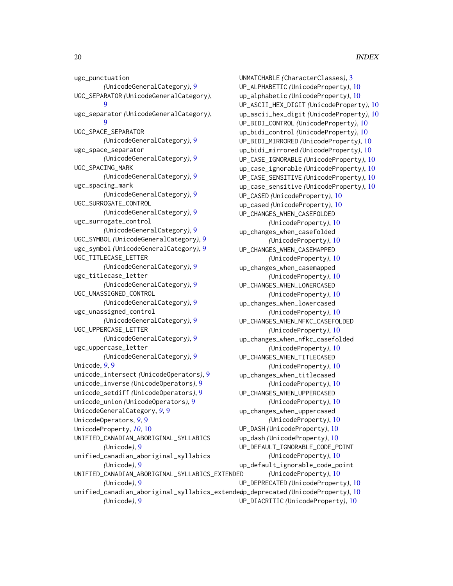ugc\_punctuation *(*UnicodeGeneralCategory*)*, [9](#page-8-0) UGC\_SEPARATOR *(*UnicodeGeneralCategory*)*, **g** ugc\_separator *(*UnicodeGeneralCategory*)*, [9](#page-8-0) UGC\_SPACE\_SEPARATOR *(*UnicodeGeneralCategory*)*, [9](#page-8-0) ugc\_space\_separator *(*UnicodeGeneralCategory*)*, [9](#page-8-0) UGC\_SPACING\_MARK *(*UnicodeGeneralCategory*)*, [9](#page-8-0) ugc\_spacing\_mark *(*UnicodeGeneralCategory*)*, [9](#page-8-0) UGC\_SURROGATE\_CONTROL *(*UnicodeGeneralCategory*)*, [9](#page-8-0) ugc\_surrogate\_control *(*UnicodeGeneralCategory*)*, [9](#page-8-0) UGC\_SYMBOL *(*UnicodeGeneralCategory*)*, [9](#page-8-0) ugc\_symbol *(*UnicodeGeneralCategory*)*, [9](#page-8-0) UGC\_TITLECASE\_LETTER *(*UnicodeGeneralCategory*)*, [9](#page-8-0) ugc\_titlecase\_letter *(*UnicodeGeneralCategory*)*, [9](#page-8-0) UGC\_UNASSIGNED\_CONTROL *(*UnicodeGeneralCategory*)*, [9](#page-8-0) ugc\_unassigned\_control *(*UnicodeGeneralCategory*)*, [9](#page-8-0) UGC\_UPPERCASE\_LETTER *(*UnicodeGeneralCategory*)*, [9](#page-8-0) ugc\_uppercase\_letter *(*UnicodeGeneralCategory*)*, [9](#page-8-0) Unicode, *[9](#page-8-0)*, [9](#page-8-0) unicode\_intersect *(*UnicodeOperators*)*, [9](#page-8-0) unicode\_inverse *(*UnicodeOperators*)*, [9](#page-8-0) unicode\_setdiff *(*UnicodeOperators*)*, [9](#page-8-0) unicode\_union *(*UnicodeOperators*)*, [9](#page-8-0) UnicodeGeneralCategory, *[9](#page-8-0)*, [9](#page-8-0) UnicodeOperators, *[9](#page-8-0)*, [9](#page-8-0) UnicodeProperty, *[10](#page-9-0)*, [10](#page-9-0) UNIFIED\_CANADIAN\_ABORIGINAL\_SYLLABICS *(*Unicode*)*, [9](#page-8-0) unified\_canadian\_aboriginal\_syllabics *(*Unicode*)*, [9](#page-8-0) UNIFIED\_CANADIAN\_ABORIGINAL\_SYLLABICS\_EXTENDED *(*Unicode*)*, [9](#page-8-0) unified\_canadian\_aboriginal\_syllabics\_extended up\_deprecated *(*UnicodeProperty*)*, [10](#page-9-0)

*(*Unicode*)*, [9](#page-8-0)

UNMATCHABLE *(*CharacterClasses*)*, [3](#page-2-0) UP\_ALPHABETIC *(*UnicodeProperty*)*, [10](#page-9-0) up\_alphabetic *(*UnicodeProperty*)*, [10](#page-9-0) UP\_ASCII\_HEX\_DIGIT *(*UnicodeProperty*)*, [10](#page-9-0) up\_ascii\_hex\_digit *(*UnicodeProperty*)*, [10](#page-9-0) UP\_BIDI\_CONTROL *(*UnicodeProperty*)*, [10](#page-9-0) up\_bidi\_control *(*UnicodeProperty*)*, [10](#page-9-0) UP\_BIDI\_MIRRORED *(*UnicodeProperty*)*, [10](#page-9-0) up\_bidi\_mirrored *(*UnicodeProperty*)*, [10](#page-9-0) UP\_CASE\_IGNORABLE *(*UnicodeProperty*)*, [10](#page-9-0) up\_case\_ignorable *(*UnicodeProperty*)*, [10](#page-9-0) UP\_CASE\_SENSITIVE *(*UnicodeProperty*)*, [10](#page-9-0) up\_case\_sensitive *(*UnicodeProperty*)*, [10](#page-9-0) UP\_CASED *(*UnicodeProperty*)*, [10](#page-9-0) up\_cased *(*UnicodeProperty*)*, [10](#page-9-0) UP\_CHANGES\_WHEN\_CASEFOLDED *(*UnicodeProperty*)*, [10](#page-9-0) up\_changes\_when\_casefolded *(*UnicodeProperty*)*, [10](#page-9-0) UP\_CHANGES\_WHEN\_CASEMAPPED *(*UnicodeProperty*)*, [10](#page-9-0) up\_changes\_when\_casemapped *(*UnicodeProperty*)*, [10](#page-9-0) UP\_CHANGES\_WHEN\_LOWERCASED *(*UnicodeProperty*)*, [10](#page-9-0) up\_changes\_when\_lowercased *(*UnicodeProperty*)*, [10](#page-9-0) UP\_CHANGES\_WHEN\_NFKC\_CASEFOLDED *(*UnicodeProperty*)*, [10](#page-9-0) up\_changes\_when\_nfkc\_casefolded *(*UnicodeProperty*)*, [10](#page-9-0) UP\_CHANGES\_WHEN\_TITLECASED *(*UnicodeProperty*)*, [10](#page-9-0) up\_changes\_when\_titlecased *(*UnicodeProperty*)*, [10](#page-9-0) UP\_CHANGES\_WHEN\_UPPERCASED *(*UnicodeProperty*)*, [10](#page-9-0) up\_changes\_when\_uppercased *(*UnicodeProperty*)*, [10](#page-9-0) UP\_DASH *(*UnicodeProperty*)*, [10](#page-9-0) up\_dash *(*UnicodeProperty*)*, [10](#page-9-0) UP\_DEFAULT\_IGNORABLE\_CODE\_POINT *(*UnicodeProperty*)*, [10](#page-9-0) up\_default\_ignorable\_code\_point *(*UnicodeProperty*)*, [10](#page-9-0) UP\_DEPRECATED *(*UnicodeProperty*)*, [10](#page-9-0) UP\_DIACRITIC *(*UnicodeProperty*)*, [10](#page-9-0)